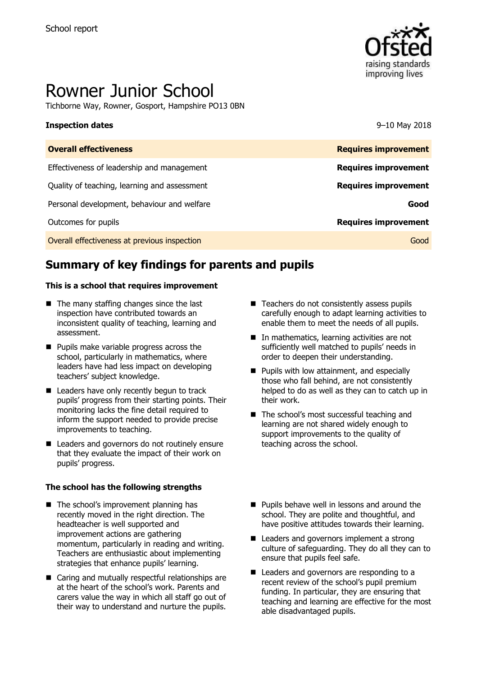

# Rowner Junior School

Tichborne Way, Rowner, Gosport, Hampshire PO13 0BN

#### **Inspection dates** 9–10 May 2018

| <b>Overall effectiveness</b>                 | <b>Requires improvement</b> |
|----------------------------------------------|-----------------------------|
| Effectiveness of leadership and management   | <b>Requires improvement</b> |
| Quality of teaching, learning and assessment | <b>Requires improvement</b> |
| Personal development, behaviour and welfare  | Good                        |
| Outcomes for pupils                          | <b>Requires improvement</b> |
| Overall effectiveness at previous inspection | Good                        |

# **Summary of key findings for parents and pupils**

#### **This is a school that requires improvement**

- The many staffing changes since the last inspection have contributed towards an inconsistent quality of teaching, learning and assessment.
- **Pupils make variable progress across the** school, particularly in mathematics, where leaders have had less impact on developing teachers' subject knowledge.
- Leaders have only recently begun to track pupils' progress from their starting points. Their monitoring lacks the fine detail required to inform the support needed to provide precise improvements to teaching.
- Leaders and governors do not routinely ensure that they evaluate the impact of their work on pupils' progress.

#### **The school has the following strengths**

- The school's improvement planning has recently moved in the right direction. The headteacher is well supported and improvement actions are gathering momentum, particularly in reading and writing. Teachers are enthusiastic about implementing strategies that enhance pupils' learning.
- Caring and mutually respectful relationships are at the heart of the school's work. Parents and carers value the way in which all staff go out of their way to understand and nurture the pupils.
- Teachers do not consistently assess pupils carefully enough to adapt learning activities to enable them to meet the needs of all pupils.
- In mathematics, learning activities are not sufficiently well matched to pupils' needs in order to deepen their understanding.
- **Pupils with low attainment, and especially** those who fall behind, are not consistently helped to do as well as they can to catch up in their work.
- The school's most successful teaching and learning are not shared widely enough to support improvements to the quality of teaching across the school.
- **Pupils behave well in lessons and around the** school. They are polite and thoughtful, and have positive attitudes towards their learning.
- Leaders and governors implement a strong culture of safeguarding. They do all they can to ensure that pupils feel safe.
- Leaders and governors are responding to a recent review of the school's pupil premium funding. In particular, they are ensuring that teaching and learning are effective for the most able disadvantaged pupils.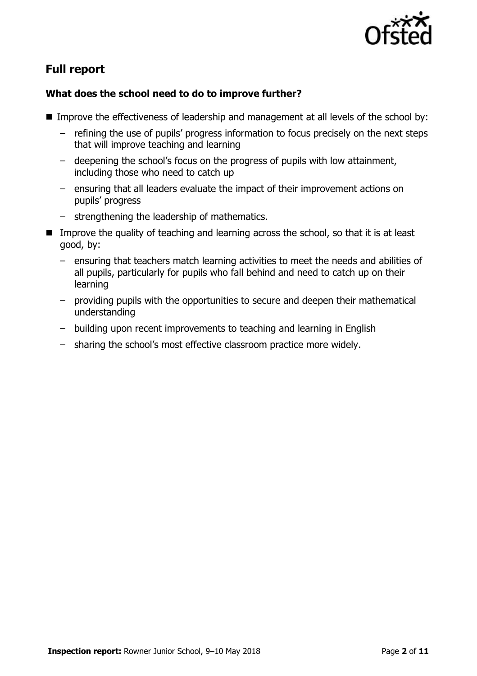

# **Full report**

### **What does the school need to do to improve further?**

- Improve the effectiveness of leadership and management at all levels of the school by:
	- refining the use of pupils' progress information to focus precisely on the next steps that will improve teaching and learning
	- deepening the school's focus on the progress of pupils with low attainment, including those who need to catch up
	- ensuring that all leaders evaluate the impact of their improvement actions on pupils' progress
	- strengthening the leadership of mathematics.
- Improve the quality of teaching and learning across the school, so that it is at least good, by:
	- ensuring that teachers match learning activities to meet the needs and abilities of all pupils, particularly for pupils who fall behind and need to catch up on their learning
	- providing pupils with the opportunities to secure and deepen their mathematical understanding
	- building upon recent improvements to teaching and learning in English
	- sharing the school's most effective classroom practice more widely.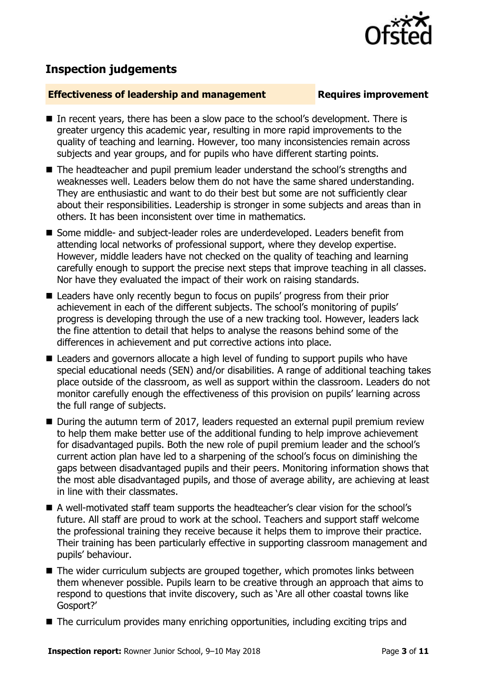

# **Inspection judgements**

#### **Effectiveness of leadership and management Requires improvement**

- In recent years, there has been a slow pace to the school's development. There is greater urgency this academic year, resulting in more rapid improvements to the quality of teaching and learning. However, too many inconsistencies remain across subjects and year groups, and for pupils who have different starting points.
- The headteacher and pupil premium leader understand the school's strengths and weaknesses well. Leaders below them do not have the same shared understanding. They are enthusiastic and want to do their best but some are not sufficiently clear about their responsibilities. Leadership is stronger in some subjects and areas than in others. It has been inconsistent over time in mathematics.
- Some middle- and subject-leader roles are underdeveloped. Leaders benefit from attending local networks of professional support, where they develop expertise. However, middle leaders have not checked on the quality of teaching and learning carefully enough to support the precise next steps that improve teaching in all classes. Nor have they evaluated the impact of their work on raising standards.
- Leaders have only recently begun to focus on pupils' progress from their prior achievement in each of the different subjects. The school's monitoring of pupils' progress is developing through the use of a new tracking tool. However, leaders lack the fine attention to detail that helps to analyse the reasons behind some of the differences in achievement and put corrective actions into place.
- Leaders and governors allocate a high level of funding to support pupils who have special educational needs (SEN) and/or disabilities. A range of additional teaching takes place outside of the classroom, as well as support within the classroom. Leaders do not monitor carefully enough the effectiveness of this provision on pupils' learning across the full range of subjects.
- During the autumn term of 2017, leaders requested an external pupil premium review to help them make better use of the additional funding to help improve achievement for disadvantaged pupils. Both the new role of pupil premium leader and the school's current action plan have led to a sharpening of the school's focus on diminishing the gaps between disadvantaged pupils and their peers. Monitoring information shows that the most able disadvantaged pupils, and those of average ability, are achieving at least in line with their classmates.
- A well-motivated staff team supports the headteacher's clear vision for the school's future. All staff are proud to work at the school. Teachers and support staff welcome the professional training they receive because it helps them to improve their practice. Their training has been particularly effective in supporting classroom management and pupils' behaviour.
- The wider curriculum subjects are grouped together, which promotes links between them whenever possible. Pupils learn to be creative through an approach that aims to respond to questions that invite discovery, such as 'Are all other coastal towns like Gosport?'
- The curriculum provides many enriching opportunities, including exciting trips and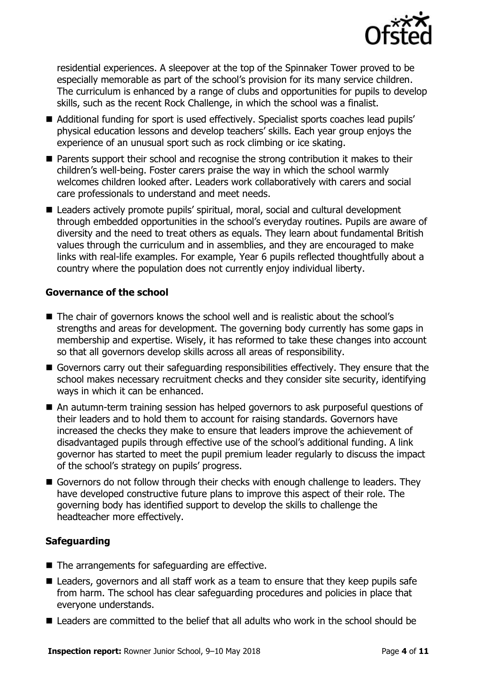

residential experiences. A sleepover at the top of the Spinnaker Tower proved to be especially memorable as part of the school's provision for its many service children. The curriculum is enhanced by a range of clubs and opportunities for pupils to develop skills, such as the recent Rock Challenge, in which the school was a finalist.

- Additional funding for sport is used effectively. Specialist sports coaches lead pupils' physical education lessons and develop teachers' skills. Each year group enjoys the experience of an unusual sport such as rock climbing or ice skating.
- **Parents support their school and recognise the strong contribution it makes to their** children's well-being. Foster carers praise the way in which the school warmly welcomes children looked after. Leaders work collaboratively with carers and social care professionals to understand and meet needs.
- Leaders actively promote pupils' spiritual, moral, social and cultural development through embedded opportunities in the school's everyday routines. Pupils are aware of diversity and the need to treat others as equals. They learn about fundamental British values through the curriculum and in assemblies, and they are encouraged to make links with real-life examples. For example, Year 6 pupils reflected thoughtfully about a country where the population does not currently enjoy individual liberty.

### **Governance of the school**

- The chair of governors knows the school well and is realistic about the school's strengths and areas for development. The governing body currently has some gaps in membership and expertise. Wisely, it has reformed to take these changes into account so that all governors develop skills across all areas of responsibility.
- Governors carry out their safeguarding responsibilities effectively. They ensure that the school makes necessary recruitment checks and they consider site security, identifying ways in which it can be enhanced.
- An autumn-term training session has helped governors to ask purposeful questions of their leaders and to hold them to account for raising standards. Governors have increased the checks they make to ensure that leaders improve the achievement of disadvantaged pupils through effective use of the school's additional funding. A link governor has started to meet the pupil premium leader regularly to discuss the impact of the school's strategy on pupils' progress.
- Governors do not follow through their checks with enough challenge to leaders. They have developed constructive future plans to improve this aspect of their role. The governing body has identified support to develop the skills to challenge the headteacher more effectively.

### **Safeguarding**

- The arrangements for safeguarding are effective.
- Leaders, governors and all staff work as a team to ensure that they keep pupils safe from harm. The school has clear safeguarding procedures and policies in place that everyone understands.
- Leaders are committed to the belief that all adults who work in the school should be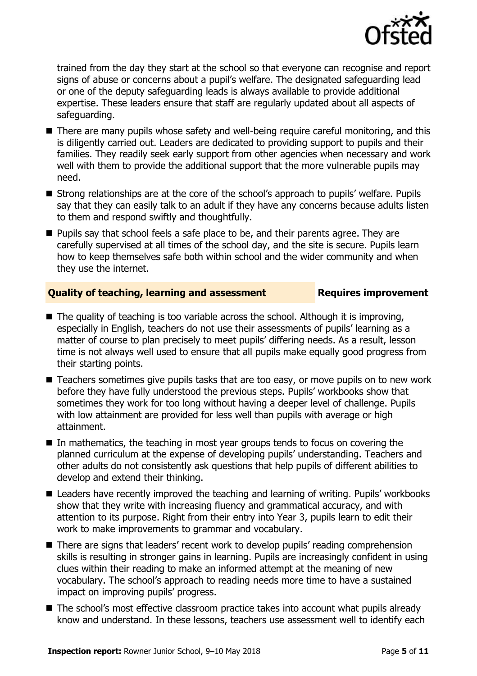

trained from the day they start at the school so that everyone can recognise and report signs of abuse or concerns about a pupil's welfare. The designated safeguarding lead or one of the deputy safeguarding leads is always available to provide additional expertise. These leaders ensure that staff are regularly updated about all aspects of safeguarding.

- There are many pupils whose safety and well-being require careful monitoring, and this is diligently carried out. Leaders are dedicated to providing support to pupils and their families. They readily seek early support from other agencies when necessary and work well with them to provide the additional support that the more vulnerable pupils may need.
- Strong relationships are at the core of the school's approach to pupils' welfare. Pupils say that they can easily talk to an adult if they have any concerns because adults listen to them and respond swiftly and thoughtfully.
- **Pupils say that school feels a safe place to be, and their parents agree. They are** carefully supervised at all times of the school day, and the site is secure. Pupils learn how to keep themselves safe both within school and the wider community and when they use the internet.

### **Quality of teaching, learning and assessment France Requires improvement**

- $\blacksquare$  The quality of teaching is too variable across the school. Although it is improving, especially in English, teachers do not use their assessments of pupils' learning as a matter of course to plan precisely to meet pupils' differing needs. As a result, lesson time is not always well used to ensure that all pupils make equally good progress from their starting points.
- Teachers sometimes give pupils tasks that are too easy, or move pupils on to new work before they have fully understood the previous steps. Pupils' workbooks show that sometimes they work for too long without having a deeper level of challenge. Pupils with low attainment are provided for less well than pupils with average or high attainment.
- In mathematics, the teaching in most year groups tends to focus on covering the planned curriculum at the expense of developing pupils' understanding. Teachers and other adults do not consistently ask questions that help pupils of different abilities to develop and extend their thinking.
- Leaders have recently improved the teaching and learning of writing. Pupils' workbooks show that they write with increasing fluency and grammatical accuracy, and with attention to its purpose. Right from their entry into Year 3, pupils learn to edit their work to make improvements to grammar and vocabulary.
- There are signs that leaders' recent work to develop pupils' reading comprehension skills is resulting in stronger gains in learning. Pupils are increasingly confident in using clues within their reading to make an informed attempt at the meaning of new vocabulary. The school's approach to reading needs more time to have a sustained impact on improving pupils' progress.
- The school's most effective classroom practice takes into account what pupils already know and understand. In these lessons, teachers use assessment well to identify each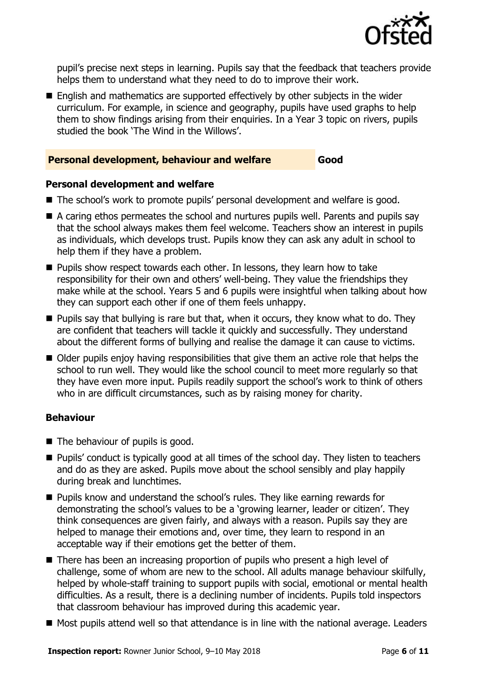

pupil's precise next steps in learning. Pupils say that the feedback that teachers provide helps them to understand what they need to do to improve their work.

■ English and mathematics are supported effectively by other subjects in the wider curriculum. For example, in science and geography, pupils have used graphs to help them to show findings arising from their enquiries. In a Year 3 topic on rivers, pupils studied the book 'The Wind in the Willows'.

#### **Personal development, behaviour and welfare Good**

#### **Personal development and welfare**

- The school's work to promote pupils' personal development and welfare is good.
- A caring ethos permeates the school and nurtures pupils well. Parents and pupils say that the school always makes them feel welcome. Teachers show an interest in pupils as individuals, which develops trust. Pupils know they can ask any adult in school to help them if they have a problem.
- **Pupils show respect towards each other. In lessons, they learn how to take** responsibility for their own and others' well-being. They value the friendships they make while at the school. Years 5 and 6 pupils were insightful when talking about how they can support each other if one of them feels unhappy.
- $\blacksquare$  Pupils say that bullying is rare but that, when it occurs, they know what to do. They are confident that teachers will tackle it quickly and successfully. They understand about the different forms of bullying and realise the damage it can cause to victims.
- Older pupils enjoy having responsibilities that give them an active role that helps the school to run well. They would like the school council to meet more regularly so that they have even more input. Pupils readily support the school's work to think of others who in are difficult circumstances, such as by raising money for charity.

### **Behaviour**

- The behaviour of pupils is good.
- Pupils' conduct is typically good at all times of the school day. They listen to teachers and do as they are asked. Pupils move about the school sensibly and play happily during break and lunchtimes.
- **Pupils know and understand the school's rules. They like earning rewards for** demonstrating the school's values to be a 'growing learner, leader or citizen'. They think consequences are given fairly, and always with a reason. Pupils say they are helped to manage their emotions and, over time, they learn to respond in an acceptable way if their emotions get the better of them.
- There has been an increasing proportion of pupils who present a high level of challenge, some of whom are new to the school. All adults manage behaviour skilfully, helped by whole-staff training to support pupils with social, emotional or mental health difficulties. As a result, there is a declining number of incidents. Pupils told inspectors that classroom behaviour has improved during this academic year.
- Most pupils attend well so that attendance is in line with the national average. Leaders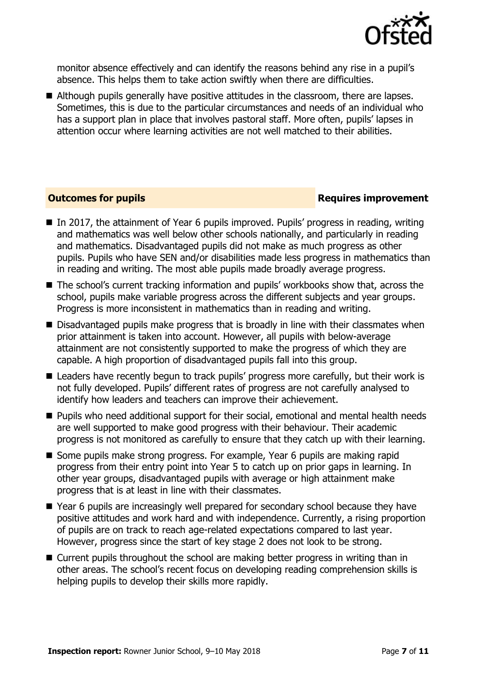

monitor absence effectively and can identify the reasons behind any rise in a pupil's absence. This helps them to take action swiftly when there are difficulties.

Although pupils generally have positive attitudes in the classroom, there are lapses. Sometimes, this is due to the particular circumstances and needs of an individual who has a support plan in place that involves pastoral staff. More often, pupils' lapses in attention occur where learning activities are not well matched to their abilities.

#### **Outcomes for pupils Requires improvement**

- In 2017, the attainment of Year 6 pupils improved. Pupils' progress in reading, writing and mathematics was well below other schools nationally, and particularly in reading and mathematics. Disadvantaged pupils did not make as much progress as other pupils. Pupils who have SEN and/or disabilities made less progress in mathematics than in reading and writing. The most able pupils made broadly average progress.
- The school's current tracking information and pupils' workbooks show that, across the school, pupils make variable progress across the different subjects and year groups. Progress is more inconsistent in mathematics than in reading and writing.
- Disadvantaged pupils make progress that is broadly in line with their classmates when prior attainment is taken into account. However, all pupils with below-average attainment are not consistently supported to make the progress of which they are capable. A high proportion of disadvantaged pupils fall into this group.
- Leaders have recently begun to track pupils' progress more carefully, but their work is not fully developed. Pupils' different rates of progress are not carefully analysed to identify how leaders and teachers can improve their achievement.
- **Pupils who need additional support for their social, emotional and mental health needs** are well supported to make good progress with their behaviour. Their academic progress is not monitored as carefully to ensure that they catch up with their learning.
- Some pupils make strong progress. For example, Year 6 pupils are making rapid progress from their entry point into Year 5 to catch up on prior gaps in learning. In other year groups, disadvantaged pupils with average or high attainment make progress that is at least in line with their classmates.
- Year 6 pupils are increasingly well prepared for secondary school because they have positive attitudes and work hard and with independence. Currently, a rising proportion of pupils are on track to reach age-related expectations compared to last year. However, progress since the start of key stage 2 does not look to be strong.
- Current pupils throughout the school are making better progress in writing than in other areas. The school's recent focus on developing reading comprehension skills is helping pupils to develop their skills more rapidly.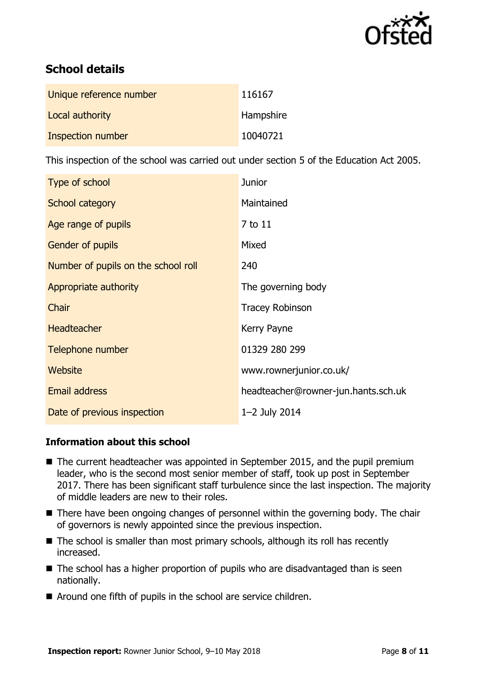

# **School details**

| Unique reference number | 116167    |
|-------------------------|-----------|
| Local authority         | Hampshire |
| Inspection number       | 10040721  |

This inspection of the school was carried out under section 5 of the Education Act 2005.

| Type of school                      | <b>Junior</b>                       |
|-------------------------------------|-------------------------------------|
| School category                     | Maintained                          |
| Age range of pupils                 | 7 to 11                             |
| <b>Gender of pupils</b>             | Mixed                               |
| Number of pupils on the school roll | 240                                 |
| Appropriate authority               | The governing body                  |
| Chair                               | <b>Tracey Robinson</b>              |
| <b>Headteacher</b>                  | Kerry Payne                         |
| Telephone number                    | 01329 280 299                       |
| Website                             | www.rownerjunior.co.uk/             |
| <b>Email address</b>                | headteacher@rowner-jun.hants.sch.uk |
| Date of previous inspection         | 1-2 July 2014                       |

### **Information about this school**

- The current headteacher was appointed in September 2015, and the pupil premium leader, who is the second most senior member of staff, took up post in September 2017. There has been significant staff turbulence since the last inspection. The majority of middle leaders are new to their roles.
- There have been ongoing changes of personnel within the governing body. The chair of governors is newly appointed since the previous inspection.
- The school is smaller than most primary schools, although its roll has recently increased.
- $\blacksquare$  The school has a higher proportion of pupils who are disadvantaged than is seen nationally.
- Around one fifth of pupils in the school are service children.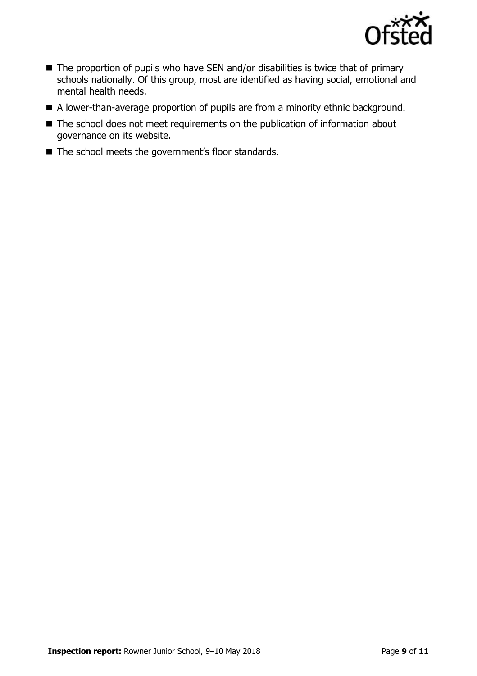

- $\blacksquare$  The proportion of pupils who have SEN and/or disabilities is twice that of primary schools nationally. Of this group, most are identified as having social, emotional and mental health needs.
- A lower-than-average proportion of pupils are from a minority ethnic background.
- The school does not meet requirements on the publication of information about governance on its website.
- The school meets the government's floor standards.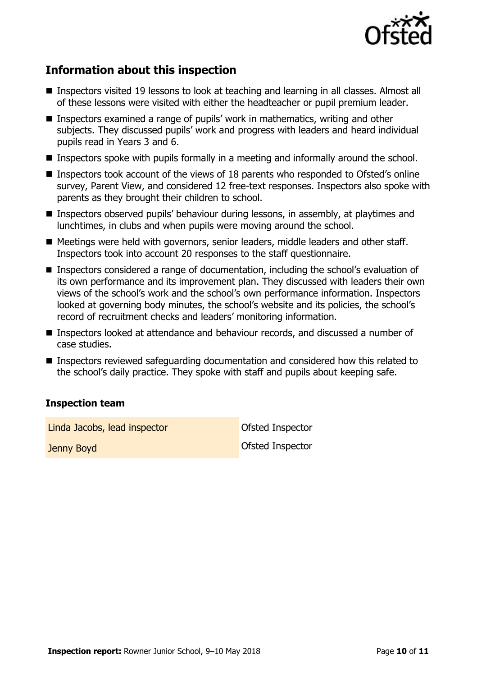

# **Information about this inspection**

- Inspectors visited 19 lessons to look at teaching and learning in all classes. Almost all of these lessons were visited with either the headteacher or pupil premium leader.
- Inspectors examined a range of pupils' work in mathematics, writing and other subjects. They discussed pupils' work and progress with leaders and heard individual pupils read in Years 3 and 6.
- **Inspectors spoke with pupils formally in a meeting and informally around the school.**
- Inspectors took account of the views of 18 parents who responded to Ofsted's online survey, Parent View, and considered 12 free-text responses. Inspectors also spoke with parents as they brought their children to school.
- Inspectors observed pupils' behaviour during lessons, in assembly, at playtimes and lunchtimes, in clubs and when pupils were moving around the school.
- Meetings were held with governors, senior leaders, middle leaders and other staff. Inspectors took into account 20 responses to the staff questionnaire.
- **Inspectors considered a range of documentation, including the school's evaluation of** its own performance and its improvement plan. They discussed with leaders their own views of the school's work and the school's own performance information. Inspectors looked at governing body minutes, the school's website and its policies, the school's record of recruitment checks and leaders' monitoring information.
- Inspectors looked at attendance and behaviour records, and discussed a number of case studies.
- **Inspectors reviewed safeguarding documentation and considered how this related to** the school's daily practice. They spoke with staff and pupils about keeping safe.

### **Inspection team**

Linda Jacobs, lead inspector Contract Contract Ofsted Inspector

Jenny Boyd Ofsted Inspector